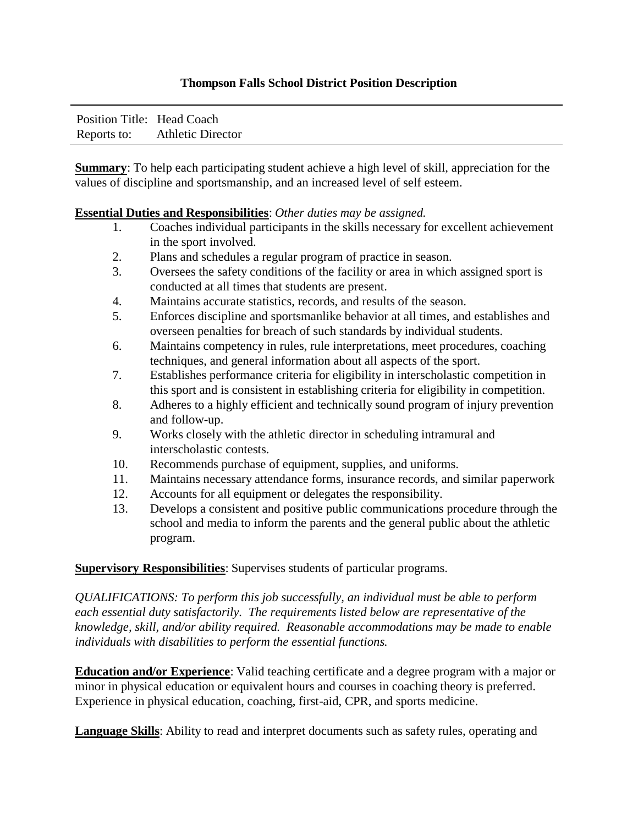## **Thompson Falls School District Position Description**

| Position Title: Head Coach |                          |
|----------------------------|--------------------------|
| Reports to:                | <b>Athletic Director</b> |

**Summary**: To help each participating student achieve a high level of skill, appreciation for the values of discipline and sportsmanship, and an increased level of self esteem.

## **Essential Duties and Responsibilities**: *Other duties may be assigned.*

- 1. Coaches individual participants in the skills necessary for excellent achievement in the sport involved.
- 2. Plans and schedules a regular program of practice in season.
- 3. Oversees the safety conditions of the facility or area in which assigned sport is conducted at all times that students are present.
- 4. Maintains accurate statistics, records, and results of the season.
- 5. Enforces discipline and sportsmanlike behavior at all times, and establishes and overseen penalties for breach of such standards by individual students.
- 6. Maintains competency in rules, rule interpretations, meet procedures, coaching techniques, and general information about all aspects of the sport.
- 7. Establishes performance criteria for eligibility in interscholastic competition in this sport and is consistent in establishing criteria for eligibility in competition.
- 8. Adheres to a highly efficient and technically sound program of injury prevention and follow-up.
- 9. Works closely with the athletic director in scheduling intramural and interscholastic contests.
- 10. Recommends purchase of equipment, supplies, and uniforms.
- 11. Maintains necessary attendance forms, insurance records, and similar paperwork
- 12. Accounts for all equipment or delegates the responsibility.
- 13. Develops a consistent and positive public communications procedure through the school and media to inform the parents and the general public about the athletic program.

## **Supervisory Responsibilities**: Supervises students of particular programs.

*QUALIFICATIONS: To perform this job successfully, an individual must be able to perform each essential duty satisfactorily. The requirements listed below are representative of the knowledge, skill, and/or ability required. Reasonable accommodations may be made to enable individuals with disabilities to perform the essential functions.* 

**Education and/or Experience**: Valid teaching certificate and a degree program with a major or minor in physical education or equivalent hours and courses in coaching theory is preferred. Experience in physical education, coaching, first-aid, CPR, and sports medicine.

**Language Skills**: Ability to read and interpret documents such as safety rules, operating and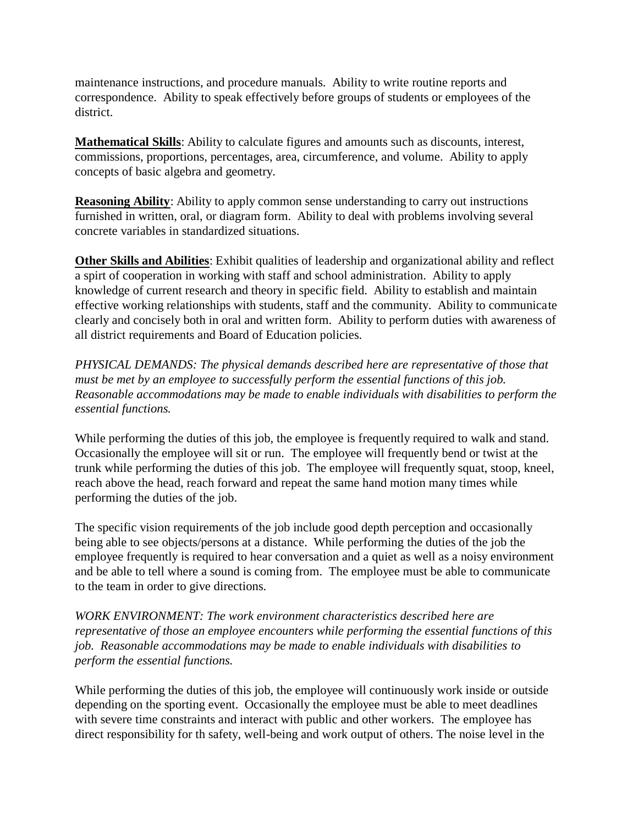maintenance instructions, and procedure manuals. Ability to write routine reports and correspondence. Ability to speak effectively before groups of students or employees of the district.

**Mathematical Skills**: Ability to calculate figures and amounts such as discounts, interest, commissions, proportions, percentages, area, circumference, and volume. Ability to apply concepts of basic algebra and geometry.

**Reasoning Ability**: Ability to apply common sense understanding to carry out instructions furnished in written, oral, or diagram form. Ability to deal with problems involving several concrete variables in standardized situations.

**Other Skills and Abilities**: Exhibit qualities of leadership and organizational ability and reflect a spirt of cooperation in working with staff and school administration. Ability to apply knowledge of current research and theory in specific field. Ability to establish and maintain effective working relationships with students, staff and the community. Ability to communicate clearly and concisely both in oral and written form. Ability to perform duties with awareness of all district requirements and Board of Education policies.

*PHYSICAL DEMANDS: The physical demands described here are representative of those that must be met by an employee to successfully perform the essential functions of this job. Reasonable accommodations may be made to enable individuals with disabilities to perform the essential functions.*

While performing the duties of this job, the employee is frequently required to walk and stand. Occasionally the employee will sit or run. The employee will frequently bend or twist at the trunk while performing the duties of this job. The employee will frequently squat, stoop, kneel, reach above the head, reach forward and repeat the same hand motion many times while performing the duties of the job.

The specific vision requirements of the job include good depth perception and occasionally being able to see objects/persons at a distance. While performing the duties of the job the employee frequently is required to hear conversation and a quiet as well as a noisy environment and be able to tell where a sound is coming from. The employee must be able to communicate to the team in order to give directions.

*WORK ENVIRONMENT: The work environment characteristics described here are representative of those an employee encounters while performing the essential functions of this job. Reasonable accommodations may be made to enable individuals with disabilities to perform the essential functions.* 

While performing the duties of this job, the employee will continuously work inside or outside depending on the sporting event. Occasionally the employee must be able to meet deadlines with severe time constraints and interact with public and other workers. The employee has direct responsibility for th safety, well-being and work output of others. The noise level in the